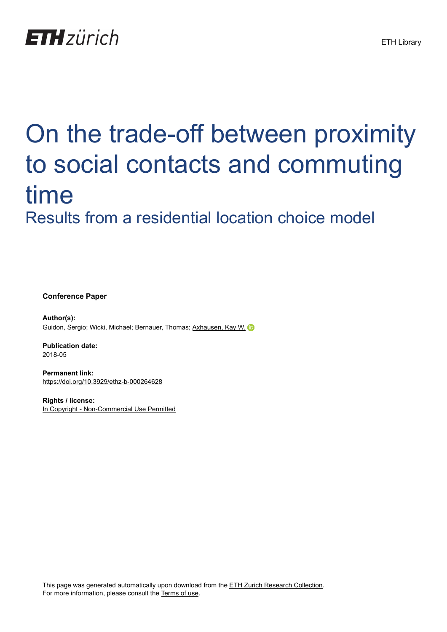

# On the trade-off between proximity to social contacts and commuting time Results from a residential location choice model

**Conference Paper**

**Author(s):** Guidon, Sergio; Wicki, Michael; Bernauer, Thomas; [Axhausen, Kay W.](https://orcid.org/0000-0003-3331-1318) iD

**Publication date:** 2018-05

**Permanent link:** <https://doi.org/10.3929/ethz-b-000264628>

**Rights / license:** [In Copyright - Non-Commercial Use Permitted](http://rightsstatements.org/page/InC-NC/1.0/)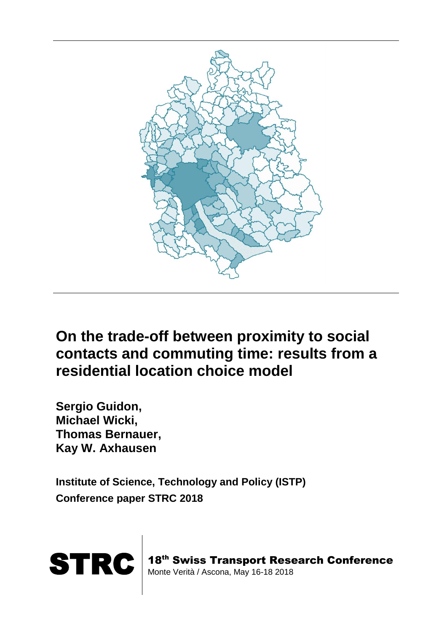

# **On the trade-off between proximity to social contacts and commuting time: results from a residential location choice model**

**Sergio Guidon, Michael Wicki, Thomas Bernauer, Kay W. Axhausen**

**Institute of Science, Technology and Policy (ISTP) Conference paper STRC 2018**



18<sup>th</sup> Swiss Transport Research Conference Monte Verità / Ascona, May 16-18 2018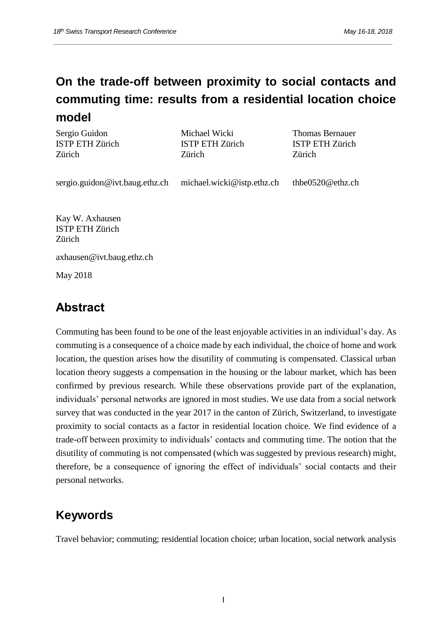# **On the trade-off between proximity to social contacts and commuting time: results from a residential location choice model**

*\_\_\_\_\_\_\_\_\_\_\_\_\_\_\_\_\_\_\_\_\_\_\_\_\_\_\_\_\_\_\_\_\_\_\_\_\_\_\_\_\_\_\_\_\_\_\_\_\_\_\_\_\_\_\_\_\_\_\_\_\_\_\_\_\_\_\_\_\_\_\_\_\_\_\_\_\_\_\_\_\_\_\_\_\_\_\_\_\_\_\_\_\_\_*

Sergio Guidon ISTP ETH Zürich Zürich

Michael Wicki ISTP ETH Zürich Zürich

Thomas Bernauer ISTP ETH Zürich Zürich

sergio.guidon@ivt.baug.ethz.ch michael.wicki@istp.ethz.ch thbe0520@ethz.ch

Kay W. Axhausen ISTP ETH Zürich Zürich

axhausen@ivt.baug.ethz.ch

May 2018

# **Abstract**

Commuting has been found to be one of the least enjoyable activities in an individual's day. As commuting is a consequence of a choice made by each individual, the choice of home and work location, the question arises how the disutility of commuting is compensated. Classical urban location theory suggests a compensation in the housing or the labour market, which has been confirmed by previous research. While these observations provide part of the explanation, individuals' personal networks are ignored in most studies. We use data from a social network survey that was conducted in the year 2017 in the canton of Zürich, Switzerland, to investigate proximity to social contacts as a factor in residential location choice. We find evidence of a trade-off between proximity to individuals' contacts and commuting time. The notion that the disutility of commuting is not compensated (which was suggested by previous research) might, therefore, be a consequence of ignoring the effect of individuals' social contacts and their personal networks.

# **Keywords**

Travel behavior; commuting; residential location choice; urban location, social network analysis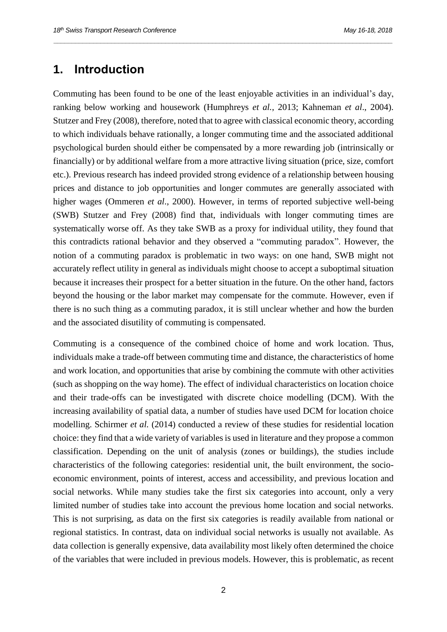#### **1. Introduction**

Commuting has been found to be one of the least enjoyable activities in an individual's day, ranking below working and housework (Humphreys *et al.*, 2013; Kahneman *et al*., 2004). Stutzer and Frey (2008), therefore, noted that to agree with classical economic theory, according to which individuals behave rationally, a longer commuting time and the associated additional psychological burden should either be compensated by a more rewarding job (intrinsically or financially) or by additional welfare from a more attractive living situation (price, size, comfort etc.). Previous research has indeed provided strong evidence of a relationship between housing prices and distance to job opportunities and longer commutes are generally associated with higher wages (Ommeren *et al*., 2000). However, in terms of reported subjective well-being (SWB) Stutzer and Frey (2008) find that, individuals with longer commuting times are systematically worse off. As they take SWB as a proxy for individual utility, they found that this contradicts rational behavior and they observed a "commuting paradox". However, the notion of a commuting paradox is problematic in two ways: on one hand, SWB might not accurately reflect utility in general as individuals might choose to accept a suboptimal situation because it increases their prospect for a better situation in the future. On the other hand, factors beyond the housing or the labor market may compensate for the commute. However, even if there is no such thing as a commuting paradox, it is still unclear whether and how the burden and the associated disutility of commuting is compensated.

*\_\_\_\_\_\_\_\_\_\_\_\_\_\_\_\_\_\_\_\_\_\_\_\_\_\_\_\_\_\_\_\_\_\_\_\_\_\_\_\_\_\_\_\_\_\_\_\_\_\_\_\_\_\_\_\_\_\_\_\_\_\_\_\_\_\_\_\_\_\_\_\_\_\_\_\_\_\_\_\_\_\_\_\_\_\_\_\_\_\_\_\_\_\_*

Commuting is a consequence of the combined choice of home and work location. Thus, individuals make a trade-off between commuting time and distance, the characteristics of home and work location, and opportunities that arise by combining the commute with other activities (such as shopping on the way home). The effect of individual characteristics on location choice and their trade-offs can be investigated with discrete choice modelling (DCM). With the increasing availability of spatial data, a number of studies have used DCM for location choice modelling. Schirmer *et al.* (2014) conducted a review of these studies for residential location choice: they find that a wide variety of variables is used in literature and they propose a common classification. Depending on the unit of analysis (zones or buildings), the studies include characteristics of the following categories: residential unit, the built environment, the socioeconomic environment, points of interest, access and accessibility, and previous location and social networks. While many studies take the first six categories into account, only a very limited number of studies take into account the previous home location and social networks. This is not surprising, as data on the first six categories is readily available from national or regional statistics. In contrast, data on individual social networks is usually not available. As data collection is generally expensive, data availability most likely often determined the choice of the variables that were included in previous models. However, this is problematic, as recent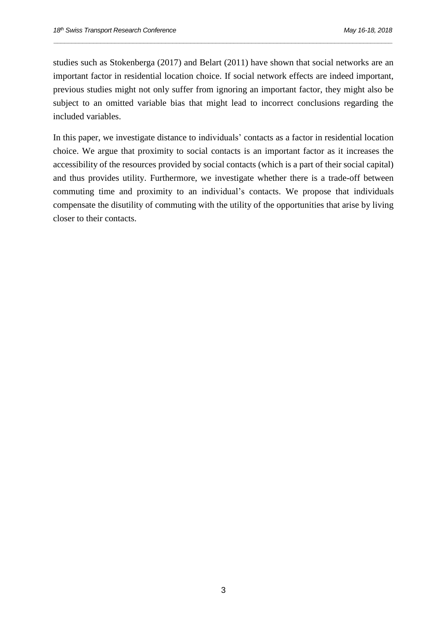studies such as Stokenberga (2017) and Belart (2011) have shown that social networks are an important factor in residential location choice. If social network effects are indeed important, previous studies might not only suffer from ignoring an important factor, they might also be subject to an omitted variable bias that might lead to incorrect conclusions regarding the included variables.

*\_\_\_\_\_\_\_\_\_\_\_\_\_\_\_\_\_\_\_\_\_\_\_\_\_\_\_\_\_\_\_\_\_\_\_\_\_\_\_\_\_\_\_\_\_\_\_\_\_\_\_\_\_\_\_\_\_\_\_\_\_\_\_\_\_\_\_\_\_\_\_\_\_\_\_\_\_\_\_\_\_\_\_\_\_\_\_\_\_\_\_\_\_\_*

In this paper, we investigate distance to individuals' contacts as a factor in residential location choice. We argue that proximity to social contacts is an important factor as it increases the accessibility of the resources provided by social contacts (which is a part of their social capital) and thus provides utility. Furthermore, we investigate whether there is a trade-off between commuting time and proximity to an individual's contacts. We propose that individuals compensate the disutility of commuting with the utility of the opportunities that arise by living closer to their contacts.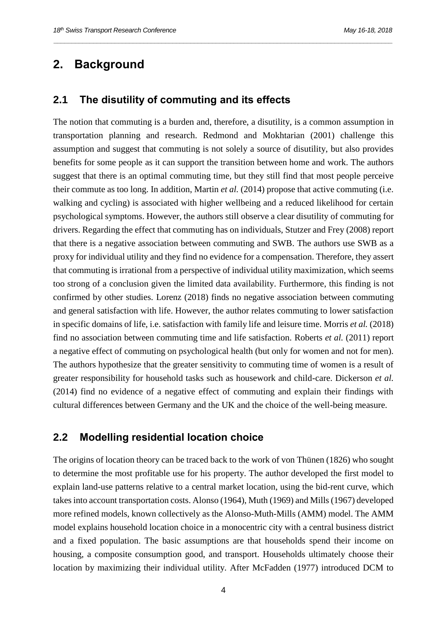## **2. Background**

#### **2.1 The disutility of commuting and its effects**

The notion that commuting is a burden and, therefore, a disutility, is a common assumption in transportation planning and research. Redmond and Mokhtarian (2001) challenge this assumption and suggest that commuting is not solely a source of disutility, but also provides benefits for some people as it can support the transition between home and work. The authors suggest that there is an optimal commuting time, but they still find that most people perceive their commute as too long. In addition, Martin *et al.* (2014) propose that active commuting (i.e. walking and cycling) is associated with higher wellbeing and a reduced likelihood for certain psychological symptoms. However, the authors still observe a clear disutility of commuting for drivers. Regarding the effect that commuting has on individuals, Stutzer and Frey (2008) report that there is a negative association between commuting and SWB. The authors use SWB as a proxy for individual utility and they find no evidence for a compensation. Therefore, they assert that commuting is irrational from a perspective of individual utility maximization, which seems too strong of a conclusion given the limited data availability. Furthermore, this finding is not confirmed by other studies. Lorenz (2018) finds no negative association between commuting and general satisfaction with life. However, the author relates commuting to lower satisfaction in specific domains of life, i.e. satisfaction with family life and leisure time. Morris *et al.* (2018) find no association between commuting time and life satisfaction. Roberts *et al.* (2011) report a negative effect of commuting on psychological health (but only for women and not for men). The authors hypothesize that the greater sensitivity to commuting time of women is a result of greater responsibility for household tasks such as housework and child-care. Dickerson *et al.* (2014) find no evidence of a negative effect of commuting and explain their findings with cultural differences between Germany and the UK and the choice of the well-being measure.

*\_\_\_\_\_\_\_\_\_\_\_\_\_\_\_\_\_\_\_\_\_\_\_\_\_\_\_\_\_\_\_\_\_\_\_\_\_\_\_\_\_\_\_\_\_\_\_\_\_\_\_\_\_\_\_\_\_\_\_\_\_\_\_\_\_\_\_\_\_\_\_\_\_\_\_\_\_\_\_\_\_\_\_\_\_\_\_\_\_\_\_\_\_\_*

#### **2.2 Modelling residential location choice**

The origins of location theory can be traced back to the work of von Thünen (1826) who sought to determine the most profitable use for his property. The author developed the first model to explain land-use patterns relative to a central market location, using the bid-rent curve, which takesinto account transportation costs. Alonso (1964), Muth (1969) and Mills (1967) developed more refined models, known collectively as the Alonso-Muth-Mills (AMM) model. The AMM model explains household location choice in a monocentric city with a central business district and a fixed population. The basic assumptions are that households spend their income on housing, a composite consumption good, and transport. Households ultimately choose their location by maximizing their individual utility. After McFadden (1977) introduced DCM to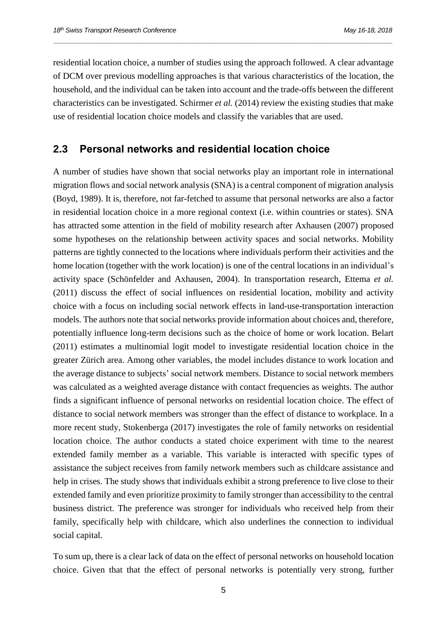residential location choice, a number of studies using the approach followed. A clear advantage of DCM over previous modelling approaches is that various characteristics of the location, the household, and the individual can be taken into account and the trade-offs between the different characteristics can be investigated. Schirmer *et al.* (2014) review the existing studies that make use of residential location choice models and classify the variables that are used.

*\_\_\_\_\_\_\_\_\_\_\_\_\_\_\_\_\_\_\_\_\_\_\_\_\_\_\_\_\_\_\_\_\_\_\_\_\_\_\_\_\_\_\_\_\_\_\_\_\_\_\_\_\_\_\_\_\_\_\_\_\_\_\_\_\_\_\_\_\_\_\_\_\_\_\_\_\_\_\_\_\_\_\_\_\_\_\_\_\_\_\_\_\_\_*

#### **2.3 Personal networks and residential location choice**

A number of studies have shown that social networks play an important role in international migration flows and social network analysis (SNA) is a central component of migration analysis (Boyd, 1989). It is, therefore, not far-fetched to assume that personal networks are also a factor in residential location choice in a more regional context (i.e. within countries or states). SNA has attracted some attention in the field of mobility research after Axhausen (2007) proposed some hypotheses on the relationship between activity spaces and social networks. Mobility patterns are tightly connected to the locations where individuals perform their activities and the home location (together with the work location) is one of the central locations in an individual's activity space (Schönfelder and Axhausen, 2004). In transportation research, Ettema *et al.* (2011) discuss the effect of social influences on residential location, mobility and activity choice with a focus on including social network effects in land-use-transportation interaction models. The authors note that social networks provide information about choices and, therefore, potentially influence long-term decisions such as the choice of home or work location. Belart (2011) estimates a multinomial logit model to investigate residential location choice in the greater Zürich area. Among other variables, the model includes distance to work location and the average distance to subjects' social network members. Distance to social network members was calculated as a weighted average distance with contact frequencies as weights. The author finds a significant influence of personal networks on residential location choice. The effect of distance to social network members was stronger than the effect of distance to workplace. In a more recent study, Stokenberga (2017) investigates the role of family networks on residential location choice. The author conducts a stated choice experiment with time to the nearest extended family member as a variable. This variable is interacted with specific types of assistance the subject receives from family network members such as childcare assistance and help in crises. The study shows that individuals exhibit a strong preference to live close to their extended family and even prioritize proximity to family stronger than accessibility to the central business district. The preference was stronger for individuals who received help from their family, specifically help with childcare, which also underlines the connection to individual social capital.

To sum up, there is a clear lack of data on the effect of personal networks on household location choice. Given that that the effect of personal networks is potentially very strong, further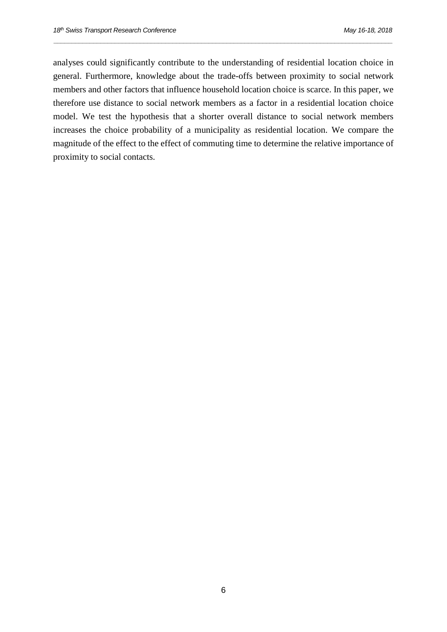analyses could significantly contribute to the understanding of residential location choice in general. Furthermore, knowledge about the trade-offs between proximity to social network members and other factors that influence household location choice is scarce. In this paper, we therefore use distance to social network members as a factor in a residential location choice model. We test the hypothesis that a shorter overall distance to social network members increases the choice probability of a municipality as residential location. We compare the magnitude of the effect to the effect of commuting time to determine the relative importance of proximity to social contacts.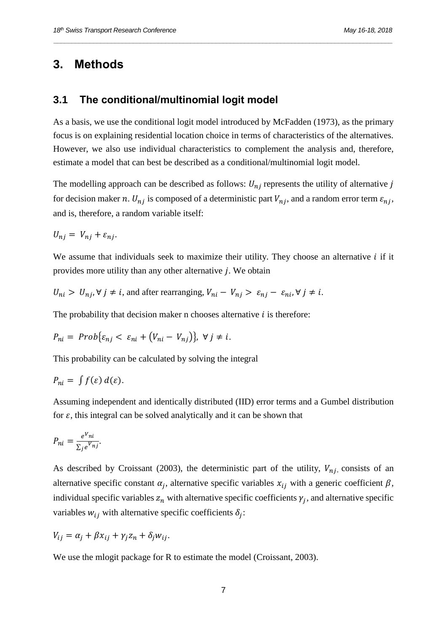## **3. Methods**

#### **3.1 The conditional/multinomial logit model**

As a basis, we use the conditional logit model introduced by McFadden (1973), as the primary focus is on explaining residential location choice in terms of characteristics of the alternatives. However, we also use individual characteristics to complement the analysis and, therefore, estimate a model that can best be described as a conditional/multinomial logit model.

*\_\_\_\_\_\_\_\_\_\_\_\_\_\_\_\_\_\_\_\_\_\_\_\_\_\_\_\_\_\_\_\_\_\_\_\_\_\_\_\_\_\_\_\_\_\_\_\_\_\_\_\_\_\_\_\_\_\_\_\_\_\_\_\_\_\_\_\_\_\_\_\_\_\_\_\_\_\_\_\_\_\_\_\_\_\_\_\_\_\_\_\_\_\_*

The modelling approach can be described as follows:  $U_{ni}$  represents the utility of alternative j for decision maker n.  $U_{nj}$  is composed of a deterministic part  $V_{nj}$ , and a random error term  $\varepsilon_{nj}$ , and is, therefore, a random variable itself:

 $U_{ni} = V_{ni} + \varepsilon_{ni}.$ 

We assume that individuals seek to maximize their utility. They choose an alternative  $i$  if it provides more utility than any other alternative  $j$ . We obtain

$$
U_{ni} > U_{nj}, \forall j \neq i
$$
, and after rearranging,  $V_{ni} - V_{nj} > \varepsilon_{nj} - \varepsilon_{ni}, \forall j \neq i$ .

The probability that decision maker n chooses alternative  $i$  is therefore:

$$
P_{ni} = Prob\{\varepsilon_{nj} < \varepsilon_{ni} + (V_{ni} - V_{nj})\}, \ \forall j \neq i.
$$

This probability can be calculated by solving the integral

$$
P_{ni} = \int f(\varepsilon) \, d(\varepsilon).
$$

Assuming independent and identically distributed (IID) error terms and a Gumbel distribution for  $\varepsilon$ , this integral can be solved analytically and it can be shown that

$$
P_{ni} = \frac{e^{V_{ni}}}{\sum_j e^{V_{nj}}}.
$$

As described by Croissant (2003), the deterministic part of the utility,  $V_{ni}$ , consists of an alternative specific constant  $\alpha_j$ , alternative specific variables  $x_{ij}$  with a generic coefficient  $\beta$ , individual specific variables  $z_n$  with alternative specific coefficients  $\gamma_j$ , and alternative specific variables  $w_{ij}$  with alternative specific coefficients  $\delta_j$ :

$$
V_{ij} = \alpha_j + \beta x_{ij} + \gamma_j z_n + \delta_j w_{ij}.
$$

We use the mlogit package for R to estimate the model (Croissant, 2003).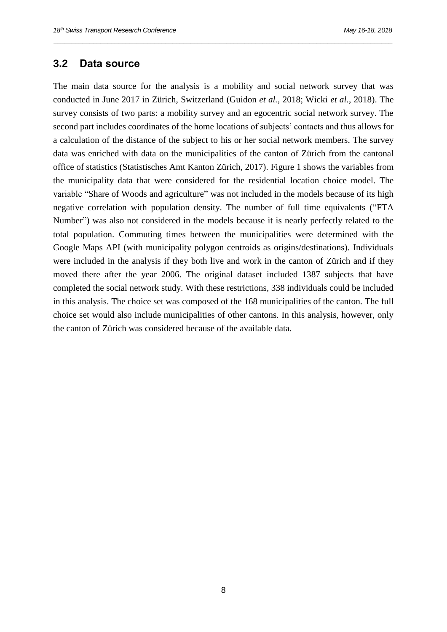#### **3.2 Data source**

The main data source for the analysis is a mobility and social network survey that was conducted in June 2017 in Zürich, Switzerland (Guidon *et al.*, 2018; Wicki *et al.*, 2018). The survey consists of two parts: a mobility survey and an egocentric social network survey. The second part includes coordinates of the home locations of subjects' contacts and thus allows for a calculation of the distance of the subject to his or her social network members. The survey data was enriched with data on the municipalities of the canton of Zürich from the cantonal office of statistics (Statistisches Amt Kanton Zürich, 2017). [Figure 1](#page-10-0) shows the variables from the municipality data that were considered for the residential location choice model. The variable "Share of Woods and agriculture" was not included in the models because of its high negative correlation with population density. The number of full time equivalents ("FTA Number") was also not considered in the models because it is nearly perfectly related to the total population. Commuting times between the municipalities were determined with the Google Maps API (with municipality polygon centroids as origins/destinations). Individuals were included in the analysis if they both live and work in the canton of Zürich and if they moved there after the year 2006. The original dataset included 1387 subjects that have completed the social network study. With these restrictions, 338 individuals could be included in this analysis. The choice set was composed of the 168 municipalities of the canton. The full choice set would also include municipalities of other cantons. In this analysis, however, only the canton of Zürich was considered because of the available data.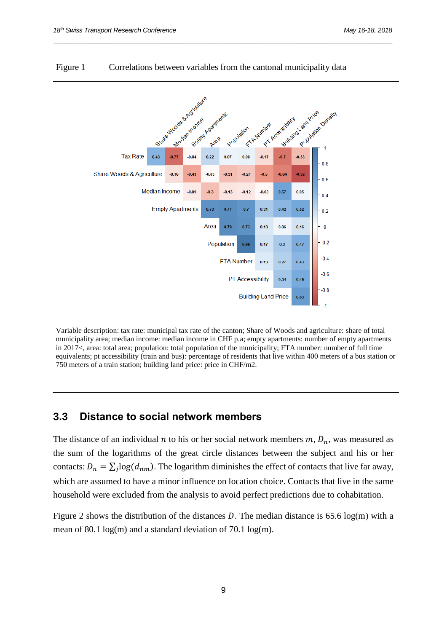

#### <span id="page-10-0"></span>Figure 1 Correlations between variables from the cantonal municipality data

*\_\_\_\_\_\_\_\_\_\_\_\_\_\_\_\_\_\_\_\_\_\_\_\_\_\_\_\_\_\_\_\_\_\_\_\_\_\_\_\_\_\_\_\_\_\_\_\_\_\_\_\_\_\_\_\_\_\_\_\_\_\_\_\_\_\_\_\_\_\_\_\_\_\_\_\_\_\_\_\_\_\_\_\_\_\_\_\_\_\_\_\_\_\_*

Variable description: tax rate: municipal tax rate of the canton; Share of Woods and agriculture: share of total municipality area; median income: median income in CHF p.a; empty apartments: number of empty apartments in 2017<, area: total area; population: total population of the municipality; FTA number: number of full time equivalents; pt accessibility (train and bus): percentage of residents that live within 400 meters of a bus station or 750 meters of a train station; building land price: price in CHF/m2.

#### **3.3 Distance to social network members**

The distance of an individual *n* to his or her social network members  $m$ ,  $D_n$ , was measured as the sum of the logarithms of the great circle distances between the subject and his or her contacts:  $D_n = \sum_j \log(d_{nm})$ . The logarithm diminishes the effect of contacts that live far away, which are assumed to have a minor influence on location choice. Contacts that live in the same household were excluded from the analysis to avoid perfect predictions due to cohabitation.

[Figure 2](#page-11-0) shows the distribution of the distances D. The median distance is 65.6 log(m) with a mean of 80.1 log(m) and a standard deviation of 70.1 log(m).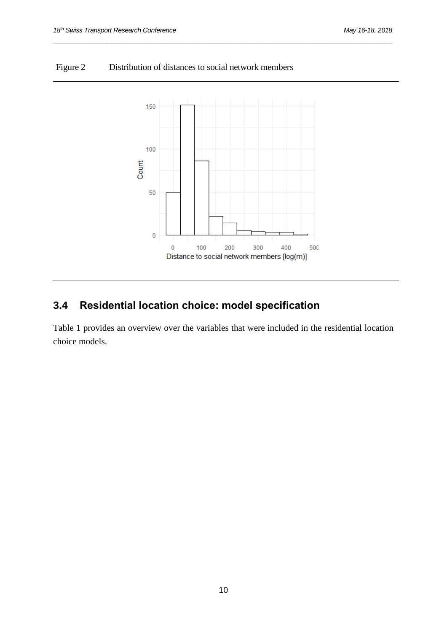<span id="page-11-0"></span>



*\_\_\_\_\_\_\_\_\_\_\_\_\_\_\_\_\_\_\_\_\_\_\_\_\_\_\_\_\_\_\_\_\_\_\_\_\_\_\_\_\_\_\_\_\_\_\_\_\_\_\_\_\_\_\_\_\_\_\_\_\_\_\_\_\_\_\_\_\_\_\_\_\_\_\_\_\_\_\_\_\_\_\_\_\_\_\_\_\_\_\_\_\_\_*

# **3.4 Residential location choice: model specification**

[Table 1](#page-12-0) provides an overview over the variables that were included in the residential location choice models.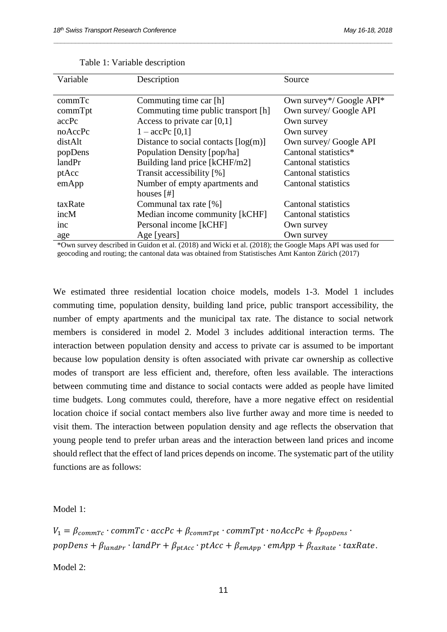<span id="page-12-0"></span>

| Variable | Description                                        | Source                     |  |
|----------|----------------------------------------------------|----------------------------|--|
|          |                                                    |                            |  |
| commTc   | Commuting time car [h]                             | Own survey*/ Google API*   |  |
| commTpt  | Commuting time public transport [h]                | Own survey/ Google API     |  |
| accPc    | Access to private car $[0,1]$                      | Own survey                 |  |
| noAccPc  | $1 - \text{accPc} [0,1]$                           | Own survey                 |  |
| distAlt  | Distance to social contacts $\lceil log(m) \rceil$ | Own survey/ Google API     |  |
| popDens  | Population Density [pop/ha]                        | Cantonal statistics*       |  |
| landPr   | Building land price [kCHF/m2]                      | Cantonal statistics        |  |
| ptAcc    | Transit accessibility [%]                          | <b>Cantonal statistics</b> |  |
| emApp    | Number of empty apartments and                     | <b>Cantonal statistics</b> |  |
|          | houses $[#]$                                       |                            |  |
| taxRate  | Communal tax rate [%]                              | Cantonal statistics        |  |
| incM     | Median income community [kCHF]                     | Cantonal statistics        |  |
| inc      | Personal income [kCHF]                             | Own survey                 |  |
| age      | Age [years]                                        | Own survey                 |  |
|          | 1.3371, 1.1, 1.7040, 1.1<br>(0.010)                | $\sim$<br>$\sqrt{N}$       |  |

*\_\_\_\_\_\_\_\_\_\_\_\_\_\_\_\_\_\_\_\_\_\_\_\_\_\_\_\_\_\_\_\_\_\_\_\_\_\_\_\_\_\_\_\_\_\_\_\_\_\_\_\_\_\_\_\_\_\_\_\_\_\_\_\_\_\_\_\_\_\_\_\_\_\_\_\_\_\_\_\_\_\_\_\_\_\_\_\_\_\_\_\_\_\_*

|  |  | Table 1: Variable description |
|--|--|-------------------------------|
|--|--|-------------------------------|

\*Own survey described in Guidon et al. (2018) and Wicki et al. (2018); the Google Maps API was used for geocoding and routing; the cantonal data was obtained from Statistisches Amt Kanton Zürich (2017)

We estimated three residential location choice models, models 1-3. Model 1 includes commuting time, population density, building land price, public transport accessibility, the number of empty apartments and the municipal tax rate. The distance to social network members is considered in model 2. Model 3 includes additional interaction terms. The interaction between population density and access to private car is assumed to be important because low population density is often associated with private car ownership as collective modes of transport are less efficient and, therefore, often less available. The interactions between commuting time and distance to social contacts were added as people have limited time budgets. Long commutes could, therefore, have a more negative effect on residential location choice if social contact members also live further away and more time is needed to visit them. The interaction between population density and age reflects the observation that young people tend to prefer urban areas and the interaction between land prices and income should reflect that the effect of land prices depends on income. The systematic part of the utility functions are as follows:

Model 1:

 $V_1 = \beta_{commTc} \cdot commTc \cdot accPc + \beta_{commTnt} \cdot commTpt \cdot noAccPc + \beta_{nonDens}$  $popDens + \beta_{landPr} \cdot landPr + \beta_{ptAcc} \cdot ptAcc + \beta_{emApp} \cdot emApp + \beta_{taxRate} \cdot taxRate.$ 

Model 2: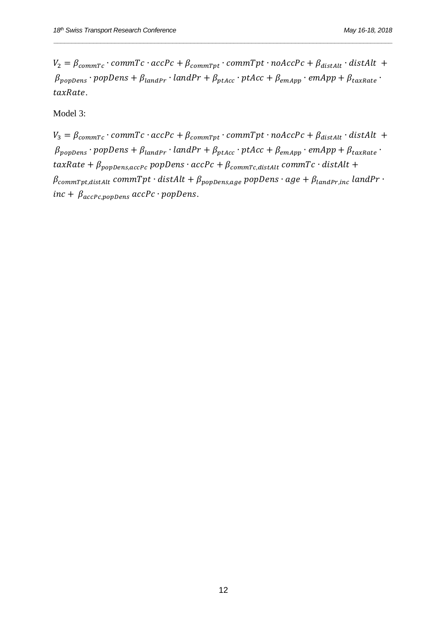$V_2 = \beta_{commTc} \cdot commTc \cdot accPc + \beta_{commTpt} \cdot commTpt \cdot noAccPc + \beta_{distAlt} \cdot distAlt +$  $\beta_{popDens} \cdot popDens + \beta_{landPr} \cdot landPr + \beta_{ptAcc} \cdot ptAcc + \beta_{emApp} \cdot emApp + \beta_{taxRate} \cdot$  $taxRate.$ 

Model 3:

 $V_3 = \beta_{commTc} \cdot commTc \cdot accPc + \beta_{commTpt} \cdot commTpt \cdot noAccPc + \beta_{distAlt} \cdot distAlt +$  $\beta_{popDens} \cdot popDens + \beta_{landPr} \cdot landPr + \beta_{ptAcc} \cdot ptAcc + \beta_{emApp} \cdot emApp + \beta_{taxRate} \cdot$  $taxRate + \beta_{popDens,accPc}$  popDens ·  $accPc + \beta_{commTc,distAlt}$  commTc · distAlt +  $\beta$ commTpt, distAlt commTpt · distAlt +  $\beta_{popDens, age}$  popDens · age +  $\beta_{landPr, inc}$  landPr · inc +  $\beta_{acceptc,popDens}$  accPc · popDens.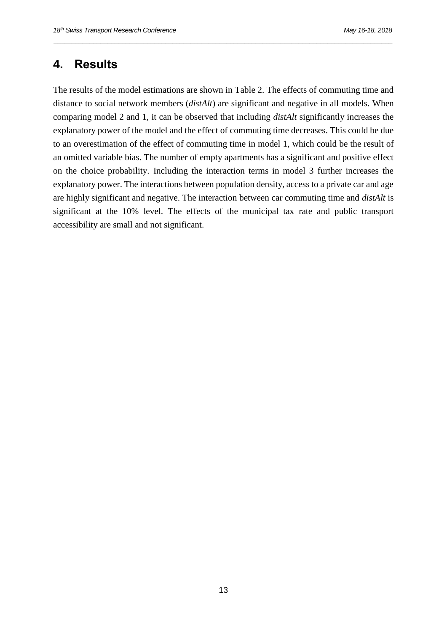## **4. Results**

The results of the model estimations are shown in [Table 2.](#page-15-0) The effects of commuting time and distance to social network members (*distAlt*) are significant and negative in all models. When comparing model 2 and 1, it can be observed that including *distAlt* significantly increases the explanatory power of the model and the effect of commuting time decreases. This could be due to an overestimation of the effect of commuting time in model 1, which could be the result of an omitted variable bias. The number of empty apartments has a significant and positive effect on the choice probability. Including the interaction terms in model 3 further increases the explanatory power. The interactions between population density, access to a private car and age are highly significant and negative. The interaction between car commuting time and *distAlt* is significant at the 10% level. The effects of the municipal tax rate and public transport accessibility are small and not significant.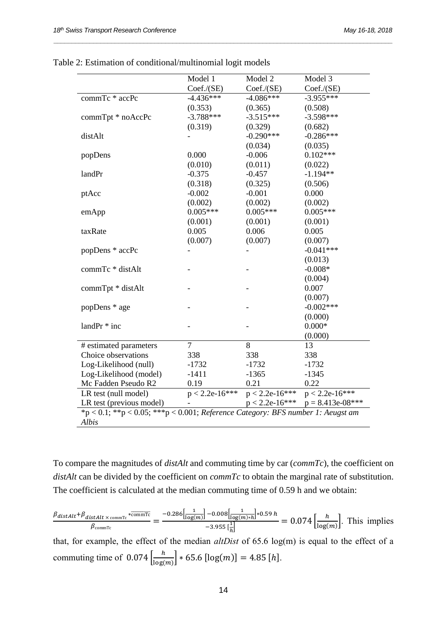|                                                                                    | Model 1          | Model 2          | Model 3            |  |
|------------------------------------------------------------------------------------|------------------|------------------|--------------------|--|
|                                                                                    | Coef. / (SE)     | Coef. / (SE)     | Coef. / (SE)       |  |
| commTc * accPc                                                                     | $-4.436***$      | $-4.086***$      | $-3.955***$        |  |
|                                                                                    | (0.353)          | (0.365)          | (0.508)            |  |
| commTpt * noAccPc                                                                  | $-3.788***$      | $-3.515***$      | $-3.598***$        |  |
|                                                                                    | (0.319)          | (0.329)          | (0.682)            |  |
| distAlt                                                                            |                  | $-0.290***$      | $-0.286***$        |  |
|                                                                                    |                  | (0.034)          | (0.035)            |  |
| popDens                                                                            | 0.000            | $-0.006$         | $0.102***$         |  |
|                                                                                    | (0.010)          | (0.011)          | (0.022)            |  |
| landPr                                                                             | $-0.375$         | $-0.457$         | $-1.194**$         |  |
|                                                                                    | (0.318)          | (0.325)          | (0.506)            |  |
| ptAcc                                                                              | $-0.002$         | $-0.001$         | 0.000              |  |
|                                                                                    | (0.002)          | (0.002)          | (0.002)            |  |
| emApp                                                                              | $0.005***$       | $0.005***$       | $0.005***$         |  |
|                                                                                    | (0.001)          | (0.001)          | (0.001)            |  |
| taxRate                                                                            | 0.005            | 0.006            | 0.005              |  |
|                                                                                    | (0.007)          | (0.007)          | (0.007)            |  |
| popDens * accPc                                                                    |                  |                  | $-0.041***$        |  |
|                                                                                    |                  |                  | (0.013)            |  |
| commTc * distAlt                                                                   |                  |                  | $-0.008*$          |  |
|                                                                                    |                  |                  | (0.004)            |  |
| commTpt * distAlt                                                                  |                  |                  | 0.007              |  |
|                                                                                    |                  |                  | (0.007)            |  |
| popDens * age                                                                      |                  |                  | $-0.002***$        |  |
|                                                                                    |                  |                  | (0.000)            |  |
| landPr * inc                                                                       |                  |                  | $0.000*$           |  |
|                                                                                    |                  |                  | (0.000)            |  |
| # estimated parameters                                                             | $\overline{7}$   | 8                | 13                 |  |
| Choice observations                                                                | 338              | 338              | 338                |  |
| Log-Likelihood (null)                                                              | $-1732$          | $-1732$          | $-1732$            |  |
| Log-Likelihood (model)                                                             | $-1411$          | $-1365$          | $-1345$            |  |
| Mc Fadden Pseudo R2                                                                | 0.19             | 0.21             | 0.22               |  |
| LR test (null model)                                                               | $p < 2.2e-16***$ | $p < 2.2e-16***$ | $p < 2.2e-16***$   |  |
| LR test (previous model)                                                           |                  | $p < 2.2e-16***$ | $p = 8.413e-08***$ |  |
| $np < 0.1$ ; **p < 0.05; ***p < 0.001; Reference Category: BFS number 1: Aeugst am |                  |                  |                    |  |
| Albis                                                                              |                  |                  |                    |  |

*\_\_\_\_\_\_\_\_\_\_\_\_\_\_\_\_\_\_\_\_\_\_\_\_\_\_\_\_\_\_\_\_\_\_\_\_\_\_\_\_\_\_\_\_\_\_\_\_\_\_\_\_\_\_\_\_\_\_\_\_\_\_\_\_\_\_\_\_\_\_\_\_\_\_\_\_\_\_\_\_\_\_\_\_\_\_\_\_\_\_\_\_\_\_*

<span id="page-15-0"></span>Table 2: Estimation of conditional/multinomial logit models

To compare the magnitudes of *distAlt* and commuting time by car (*commTc*), the coefficient on *distAlt* can be divided by the coefficient on *commTc* to obtain the marginal rate of substitution. The coefficient is calculated at the median commuting time of 0.59 h and we obtain:

$$
\frac{\beta_{distAlt} + \beta_{distAlt \times \text{commTo}} \times \overline{\text{commTo}}}{\beta_{\text{commTo}}} = \frac{-0.286 \left[ \frac{1}{\log(m)} \right] - 0.008 \left[ \frac{1}{\log(m) * h} \right] * 0.59 h}{-3.955 \left[ \frac{1}{h} \right]} = 0.074 \left[ \frac{h}{\log(m)} \right].
$$
 This implies

that, for example, the effect of the median *altDist* of 65.6 log(m) is equal to the effect of a commuting time of  $0.074 \left[ \frac{h}{\ln 26} \right]$  $\left[\frac{n}{\log(m)}\right] * 65.6 \left[\log(m)\right] = 4.85 \left[h\right].$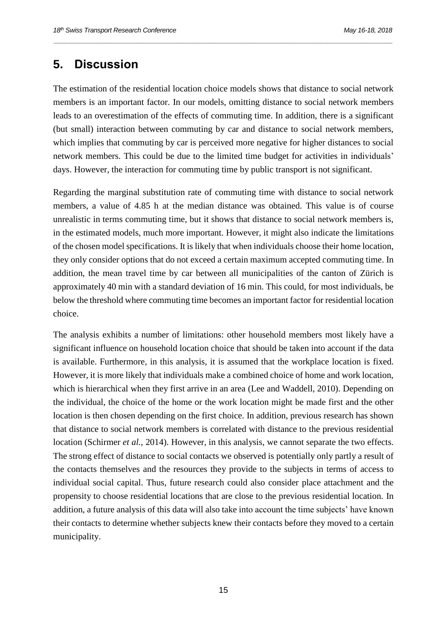## **5. Discussion**

The estimation of the residential location choice models shows that distance to social network members is an important factor. In our models, omitting distance to social network members leads to an overestimation of the effects of commuting time. In addition, there is a significant (but small) interaction between commuting by car and distance to social network members, which implies that commuting by car is perceived more negative for higher distances to social network members. This could be due to the limited time budget for activities in individuals' days. However, the interaction for commuting time by public transport is not significant.

*\_\_\_\_\_\_\_\_\_\_\_\_\_\_\_\_\_\_\_\_\_\_\_\_\_\_\_\_\_\_\_\_\_\_\_\_\_\_\_\_\_\_\_\_\_\_\_\_\_\_\_\_\_\_\_\_\_\_\_\_\_\_\_\_\_\_\_\_\_\_\_\_\_\_\_\_\_\_\_\_\_\_\_\_\_\_\_\_\_\_\_\_\_\_*

Regarding the marginal substitution rate of commuting time with distance to social network members, a value of 4.85 h at the median distance was obtained. This value is of course unrealistic in terms commuting time, but it shows that distance to social network members is, in the estimated models, much more important. However, it might also indicate the limitations of the chosen model specifications. It is likely that when individuals choose their home location, they only consider options that do not exceed a certain maximum accepted commuting time. In addition, the mean travel time by car between all municipalities of the canton of Zürich is approximately 40 min with a standard deviation of 16 min. This could, for most individuals, be below the threshold where commuting time becomes an important factor for residential location choice.

The analysis exhibits a number of limitations: other household members most likely have a significant influence on household location choice that should be taken into account if the data is available. Furthermore, in this analysis, it is assumed that the workplace location is fixed. However, it is more likely that individuals make a combined choice of home and work location, which is hierarchical when they first arrive in an area (Lee and Waddell, 2010). Depending on the individual, the choice of the home or the work location might be made first and the other location is then chosen depending on the first choice. In addition, previous research has shown that distance to social network members is correlated with distance to the previous residential location (Schirmer *et al.*, 2014). However, in this analysis, we cannot separate the two effects. The strong effect of distance to social contacts we observed is potentially only partly a result of the contacts themselves and the resources they provide to the subjects in terms of access to individual social capital. Thus, future research could also consider place attachment and the propensity to choose residential locations that are close to the previous residential location. In addition, a future analysis of this data will also take into account the time subjects' have known their contacts to determine whether subjects knew their contacts before they moved to a certain municipality.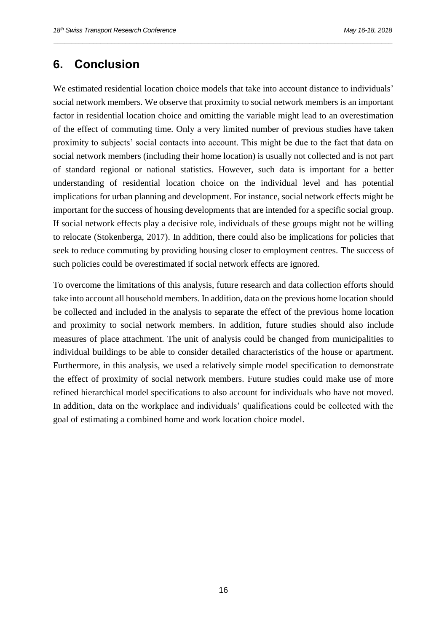## **6. Conclusion**

We estimated residential location choice models that take into account distance to individuals' social network members. We observe that proximity to social network members is an important factor in residential location choice and omitting the variable might lead to an overestimation of the effect of commuting time. Only a very limited number of previous studies have taken proximity to subjects' social contacts into account. This might be due to the fact that data on social network members (including their home location) is usually not collected and is not part of standard regional or national statistics. However, such data is important for a better understanding of residential location choice on the individual level and has potential implications for urban planning and development. For instance, social network effects might be important for the success of housing developments that are intended for a specific social group. If social network effects play a decisive role, individuals of these groups might not be willing to relocate (Stokenberga, 2017). In addition, there could also be implications for policies that seek to reduce commuting by providing housing closer to employment centres. The success of such policies could be overestimated if social network effects are ignored.

*\_\_\_\_\_\_\_\_\_\_\_\_\_\_\_\_\_\_\_\_\_\_\_\_\_\_\_\_\_\_\_\_\_\_\_\_\_\_\_\_\_\_\_\_\_\_\_\_\_\_\_\_\_\_\_\_\_\_\_\_\_\_\_\_\_\_\_\_\_\_\_\_\_\_\_\_\_\_\_\_\_\_\_\_\_\_\_\_\_\_\_\_\_\_*

To overcome the limitations of this analysis, future research and data collection efforts should take into account all household members. In addition, data on the previous home location should be collected and included in the analysis to separate the effect of the previous home location and proximity to social network members. In addition, future studies should also include measures of place attachment. The unit of analysis could be changed from municipalities to individual buildings to be able to consider detailed characteristics of the house or apartment. Furthermore, in this analysis, we used a relatively simple model specification to demonstrate the effect of proximity of social network members. Future studies could make use of more refined hierarchical model specifications to also account for individuals who have not moved. In addition, data on the workplace and individuals' qualifications could be collected with the goal of estimating a combined home and work location choice model.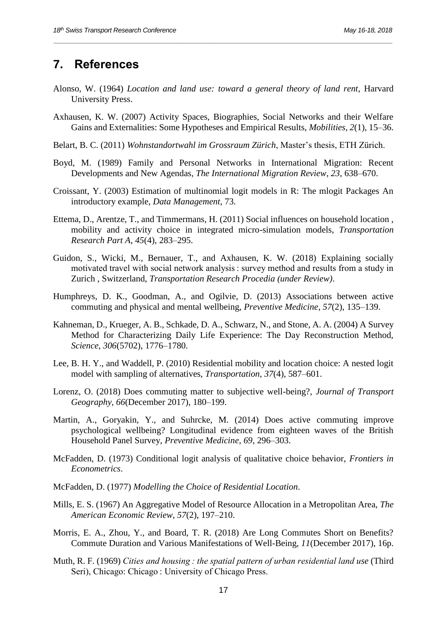## **7. References**

Alonso, W. (1964) *Location and land use: toward a general theory of land rent*, Harvard University Press.

- Axhausen, K. W. (2007) Activity Spaces, Biographies, Social Networks and their Welfare Gains and Externalities: Some Hypotheses and Empirical Results, *Mobilities*, *2*(1), 15–36.
- Belart, B. C. (2011) *Wohnstandortwahl im Grossraum Zürich*, Master's thesis, ETH Zürich.
- Boyd, M. (1989) Family and Personal Networks in International Migration: Recent Developments and New Agendas, *The International Migration Review*, *23*, 638–670.
- Croissant, Y. (2003) Estimation of multinomial logit models in R: The mlogit Packages An introductory example, *Data Management*, 73.
- Ettema, D., Arentze, T., and Timmermans, H. (2011) Social influences on household location , mobility and activity choice in integrated micro-simulation models, *Transportation Research Part A*, *45*(4), 283–295.
- Guidon, S., Wicki, M., Bernauer, T., and Axhausen, K. W. (2018) Explaining socially motivated travel with social network analysis : survey method and results from a study in Zurich , Switzerland, *Transportation Research Procedia (under Review)*.
- Humphreys, D. K., Goodman, A., and Ogilvie, D. (2013) Associations between active commuting and physical and mental wellbeing, *Preventive Medicine*, *57*(2), 135–139.
- Kahneman, D., Krueger, A. B., Schkade, D. A., Schwarz, N., and Stone, A. A. (2004) A Survey Method for Characterizing Daily Life Experience: The Day Reconstruction Method, *Science*, *306*(5702), 1776–1780.
- Lee, B. H. Y., and Waddell, P. (2010) Residential mobility and location choice: A nested logit model with sampling of alternatives, *Transportation*, *37*(4), 587–601.
- Lorenz, O. (2018) Does commuting matter to subjective well-being?, *Journal of Transport Geography*, *66*(December 2017), 180–199.
- Martin, A., Goryakin, Y., and Suhrcke, M. (2014) Does active commuting improve psychological wellbeing? Longitudinal evidence from eighteen waves of the British Household Panel Survey, *Preventive Medicine*, *69*, 296–303.
- McFadden, D. (1973) Conditional logit analysis of qualitative choice behavior, *Frontiers in Econometrics*.
- McFadden, D. (1977) *Modelling the Choice of Residential Location*.
- Mills, E. S. (1967) An Aggregative Model of Resource Allocation in a Metropolitan Area, *The American Economic Review*, *57*(2), 197–210.
- Morris, E. A., Zhou, Y., and Board, T. R. (2018) Are Long Commutes Short on Benefits? Commute Duration and Various Manifestations of Well-Being, *11*(December 2017), 16p.
- Muth, R. F. (1969) *Cities and housing : the spatial pattern of urban residential land use* (Third Seri), Chicago: Chicago : University of Chicago Press.